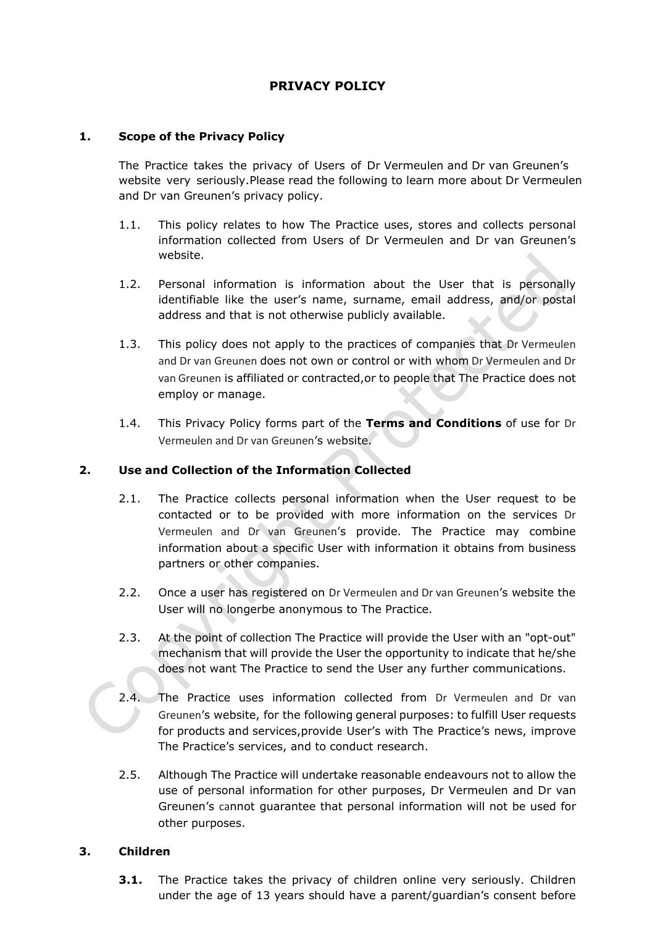# **PRIVACY POLICY**

# **1. Scope of the Privacy Policy**

The Practice takes the privacy of Users of Dr Vermeulen and Dr van Greunen's website very seriously.Please read the following to learn more about Dr Vermeulen and Dr van Greunen's privacy policy.

- 1.1. This policy relates to how The Practice uses, stores and collects personal information collected from Users of Dr Vermeulen and Dr van Greunen's website.
- 1.2. Personal information is information about the User that is personally identifiable like the user's name, surname, email address, and/or postal address and that is not otherwise publicly available.
- 1.3. This policy does not apply to the practices of companies that Dr Vermeulen and Dr van Greunen does not own or control or with whom Dr Vermeulen and Dr van Greunen is affiliated or contracted,or to people that The Practice does not employ or manage.
- 1.4. This Privacy Policy forms part of the **[Terms and Conditions](http://www.checkers.co.za/pages/198763778/Terms-and-Conditions.asp)** of use for Dr Vermeulen and Dr van Greunen's website.

# **2. Use and Collection of the Information Collected**

- 2.1. The Practice collects personal information when the User request to be contacted or to be provided with more information on the services Dr Vermeulen and Dr van Greunen's provide. The Practice may combine information about a specific User with information it obtains from business partners or other companies.
- 2.2. Once a user has registered on Dr Vermeulen and Dr van Greunen's website the User will no longerbe anonymous to The Practice.
- 2.3. At the point of collection The Practice will provide the User with an "opt-out" mechanism that will provide the User the opportunity to indicate that he/she does not want The Practice to send the User any further communications.
- 2.4. The Practice uses information collected from Dr Vermeulen and Dr van Greunen's website, for the following general purposes: to fulfill User requests for products and services,provide User's with The Practice's news, improve The Practice's services, and to conduct research.
- 2.5. Although The Practice will undertake reasonable endeavours not to allow the use of personal information for other purposes, Dr Vermeulen and Dr van Greunen's cannot guarantee that personal information will not be used for other purposes.

## **3. Children**

**3.1.** The Practice takes the privacy of children online very seriously. Children under the age of 13 years should have a parent/guardian's consent before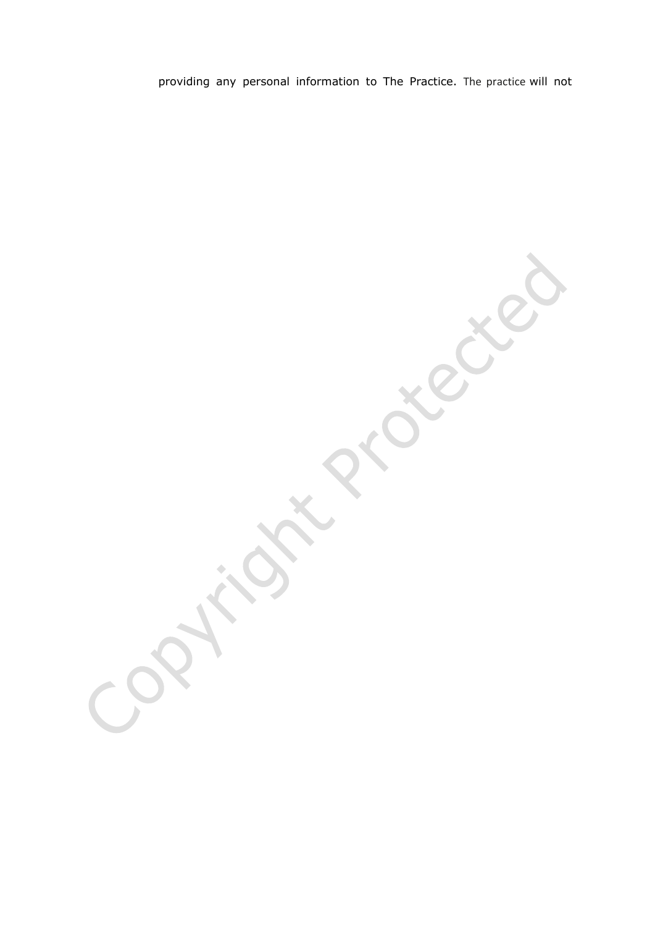providing any personal information to The Practice. The practice will not

REC